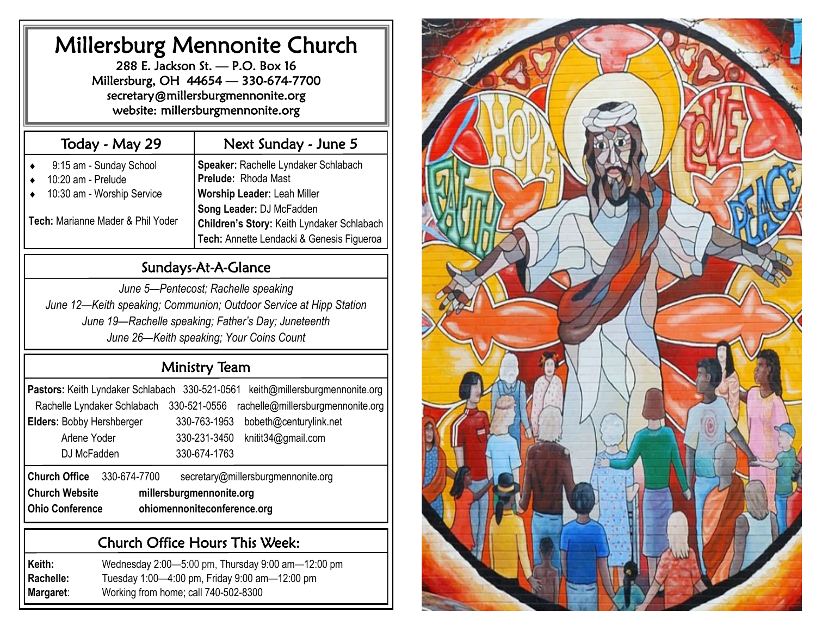## Millersburg Mennonite Church

288 E. Jackson St. — P.O. Box 16 Millersburg, OH 44654 — 330-674-7700 secretary@millersburgmennonite.org website: millersburgmennonite.org

| Today - May 29                                                                                                   | Next Sunday - June 5                                                                                                                                                                                              |
|------------------------------------------------------------------------------------------------------------------|-------------------------------------------------------------------------------------------------------------------------------------------------------------------------------------------------------------------|
| 9:15 am - Sunday School<br>10:20 am - Prelude<br>10:30 am - Worship Service<br>Tech: Marianne Mader & Phil Yoder | Speaker: Rachelle Lyndaker Schlabach<br>Prelude: Rhoda Mast<br>Worship Leader: Leah Miller<br>Song Leader: DJ McFadden<br>Children's Story: Keith Lyndaker Schlabach<br>Tech: Annette Lendacki & Genesis Figueroa |

## Sundays-At-A-Glance

*June 5—Pentecost; Rachelle speaking June 12—Keith speaking; Communion; Outdoor Service at Hipp Station June 19—Rachelle speaking; Father's Day; Juneteenth June 26—Keith speaking; Your Coins Count*

## Ministry Team

| Pastors: Keith Lyndaker Schlabach 330-521-0561    | keith@millersburgmennonite.org                    |  |  |  |  |
|---------------------------------------------------|---------------------------------------------------|--|--|--|--|
| Rachelle Lyndaker Schlabach                       | rachelle@millersburgmennonite.org<br>330-521-0556 |  |  |  |  |
| <b>Elders: Bobby Hershberger</b>                  | 330-763-1953<br>bobeth@centurylink.net            |  |  |  |  |
| Arlene Yoder                                      | 330-231-3450<br>knitit34@gmail.com                |  |  |  |  |
| DJ McFadden                                       | 330-674-1763                                      |  |  |  |  |
| <b>Church Office</b><br>330-674-7700              | secretary@millersburgmennonite.org                |  |  |  |  |
| <b>Church Website</b><br>millersburgmennonite.org |                                                   |  |  |  |  |

**Ohio Conference ohiomennoniteconference.org**

#### Church Office Hours This Week:

**Keith:** Wednesday 2:00—5:00 pm, Thursday 9:00 am—12:00 pm **Rachelle:** Tuesday 1:00—4:00 pm, Friday 9:00 am—12:00 pm **Margaret**: Working from home; call 740-502-8300

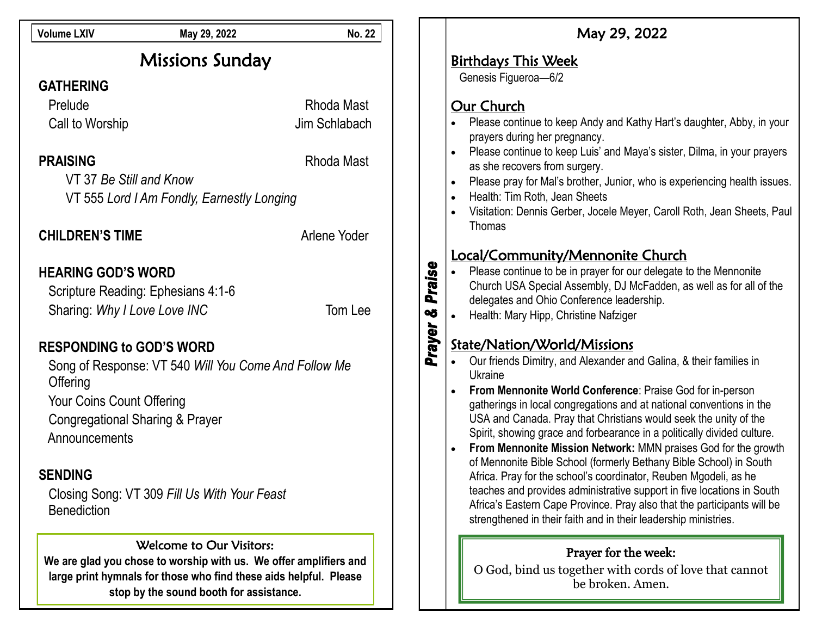| <b>Volume LXIV</b>                                                                                                                     | May 29, 2022                                 | <b>No. 22</b> |                                                        | May 29, 2022                                                                                                                               |
|----------------------------------------------------------------------------------------------------------------------------------------|----------------------------------------------|---------------|--------------------------------------------------------|--------------------------------------------------------------------------------------------------------------------------------------------|
| <b>Missions Sunday</b>                                                                                                                 |                                              |               | <b>Birthdays This Week</b>                             |                                                                                                                                            |
| <b>GATHERING</b>                                                                                                                       |                                              |               |                                                        | Genesis Figueroa-6/2                                                                                                                       |
| Prelude                                                                                                                                |                                              | Rhoda Mast    |                                                        | Our Church                                                                                                                                 |
| Call to Worship                                                                                                                        |                                              | Jim Schlabach |                                                        | Please continue to keep Andy and Kathy Hart's daughter, Abby, in your<br>prayers during her pregnancy.                                     |
| <b>PRAISING</b>                                                                                                                        |                                              | Rhoda Mast    |                                                        | Please continue to keep Luis' and Maya's sister, Dilma, in your prayers<br>as she recovers from surgery.                                   |
| VT 37 Be Still and Know                                                                                                                |                                              |               |                                                        | Please pray for Mal's brother, Junior, who is experiencing health issues.                                                                  |
| VT 555 Lord I Am Fondly, Earnestly Longing                                                                                             |                                              |               |                                                        | Health: Tim Roth, Jean Sheets                                                                                                              |
|                                                                                                                                        |                                              |               |                                                        | Visitation: Dennis Gerber, Jocele Meyer, Caroll Roth, Jean Sheets, Paul<br>Thomas                                                          |
| <b>CHILDREN'S TIME</b>                                                                                                                 |                                              | Arlene Yoder  |                                                        |                                                                                                                                            |
|                                                                                                                                        |                                              |               |                                                        | <u>Local/Community/Mennonite Church</u>                                                                                                    |
| <b>HEARING GOD'S WORD</b>                                                                                                              |                                              |               | Praise                                                 | Please continue to be in prayer for our delegate to the Mennonite<br>Church USA Special Assembly, DJ McFadden, as well as for all of the   |
|                                                                                                                                        | Scripture Reading: Ephesians 4:1-6           |               |                                                        | delegates and Ohio Conference leadership.                                                                                                  |
| Sharing: Why I Love Love INC                                                                                                           |                                              | Tom Lee       | OÕ                                                     | Health: Mary Hipp, Christine Nafziger                                                                                                      |
|                                                                                                                                        |                                              |               | Prayer                                                 | State/Nation/World/Missions                                                                                                                |
| <b>RESPONDING to GOD'S WORD</b><br>Song of Response: VT 540 Will You Come And Follow Me                                                |                                              |               |                                                        | Our friends Dimitry, and Alexander and Galina, & their families in                                                                         |
| Offering                                                                                                                               |                                              |               |                                                        | Ukraine                                                                                                                                    |
| Your Coins Count Offering                                                                                                              |                                              |               |                                                        | From Mennonite World Conference: Praise God for in-person<br>gatherings in local congregations and at national conventions in the          |
|                                                                                                                                        | <b>Congregational Sharing &amp; Prayer</b>   |               |                                                        | USA and Canada. Pray that Christians would seek the unity of the                                                                           |
| Announcements                                                                                                                          |                                              |               |                                                        | Spirit, showing grace and forbearance in a politically divided culture.                                                                    |
|                                                                                                                                        |                                              |               |                                                        | From Mennonite Mission Network: MMN praises God for the growth<br>of Mennonite Bible School (formerly Bethany Bible School) in South       |
| <b>SENDING</b>                                                                                                                         |                                              |               |                                                        | Africa. Pray for the school's coordinator, Reuben Mgodeli, as he                                                                           |
|                                                                                                                                        | Closing Song: VT 309 Fill Us With Your Feast |               |                                                        | teaches and provides administrative support in five locations in South                                                                     |
| <b>Benediction</b>                                                                                                                     |                                              |               |                                                        | Africa's Eastern Cape Province. Pray also that the participants will be<br>strengthened in their faith and in their leadership ministries. |
|                                                                                                                                        |                                              |               |                                                        |                                                                                                                                            |
| Welcome to Our Visitors:                                                                                                               |                                              |               | Prayer for the week:                                   |                                                                                                                                            |
| We are glad you chose to worship with us. We offer amplifiers and<br>large print hymnals for those who find these aids helpful. Please |                                              |               | O God, bind us together with cords of love that cannot |                                                                                                                                            |
|                                                                                                                                        | stop by the sound booth for assistance.      |               |                                                        | be broken. Amen.                                                                                                                           |
|                                                                                                                                        |                                              |               |                                                        |                                                                                                                                            |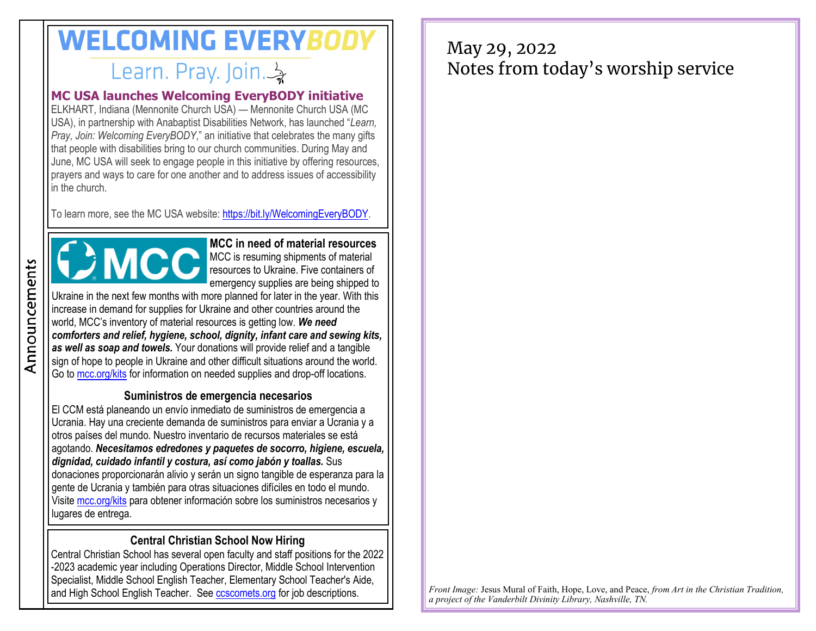# **WELCOMING EVERYBODY** Learn. Pray. Join. 3

#### **MC USA launches Welcoming EveryBODY initiative**

ELKHART, Indiana (Mennonite Church USA) — Mennonite Church USA (MC USA), in partnership with Anabaptist Disabilities Network, has launched "*Learn, Pray, Join: Welcoming EveryBODY*," an initiative that celebrates the many gifts that people with disabilities bring to our church communities. During May and June, MC USA will seek to engage people in this initiative by offering resources, prayers and ways to care for one another and to address issues of accessibility in the church.

To learn more, see the MC USA website: [https://bit.ly/WelcomingEveryBODY.](https://www.mennoniteusa.org/news/mc-usa-launches-learn-pray-join-welcoming-everybody-initiative/)



**MCC in need of material resources** MCC is resuming shipments of material resources to Ukraine. Five containers of emergency supplies are being shipped to

Ukraine in the next few months with more planned for later in the year. With this increase in demand for supplies for Ukraine and other countries around the world, MCC's inventory of material resources is getting low. *We need comforters and relief, hygiene, school, dignity, infant care and sewing kits, as well as soap and towels.* Your donations will provide relief and a tangible sign of hope to people in Ukraine and other difficult situations around the world. Go to [mcc.org/kits](https://mcc.org/get-involved/kits) for information on needed supplies and drop-off locations.

#### **Suministros de emergencia necesarios**

El CCM está planeando un envío inmediato de suministros de emergencia a Ucrania. Hay una creciente demanda de suministros para enviar a Ucrania y a otros países del mundo. Nuestro inventario de recursos materiales se está agotando. *Necesitamos edredones y paquetes de socorro, higiene, escuela, dignidad, cuidado infantil y costura, así como jabón y toallas.* Sus donaciones proporcionarán alivio y serán un signo tangible de esperanza para la gente de Ucrania y también para otras situaciones difíciles en todo el mundo. Visite [mcc.org/kits](https://mcc.org/get-involved/kits) para obtener información sobre los suministros necesarios y lugares de entrega.

#### **Central Christian School Now Hiring**

Central Christian School has several open faculty and staff positions for the 2022 -2023 academic year including Operations Director, Middle School Intervention Specialist, Middle School English Teacher, Elementary School Teacher's Aide, and High School English Teacher. See [ccscomets.org](https://www.ccscomets.org/about/employment.cfm) for job descriptions.

## May 29, 2022 Notes from today's worship service

*Front Image:* Jesus Mural of Faith, Hope, Love, and Peace, *from Art in the Christian Tradition, a project of the Vanderbilt Divinity Library, Nashville, TN.*